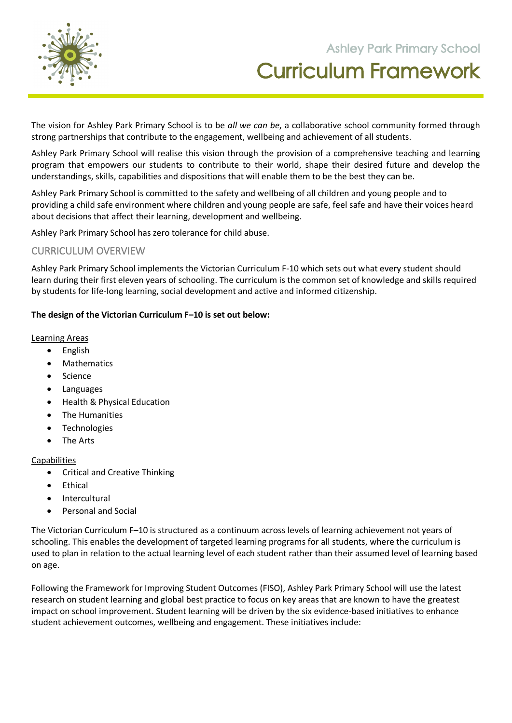

**105 Orchard Road Doreen 3754**

The vision for Ashley Park Primary School is to be *all we can be*, a collaborative school community formed through strong partnerships that contribute to the engagement, wellbeing and achievement of all students.

Ashley Park Primary School will realise this vision through the provision of a comprehensive teaching and learning program that empowers our students to contribute to their world, shape their desired future and develop the understandings, skills, capabilities and dispositions that will enable them to be the best they can be.

Ashley Park Primary School is committed to the safety and wellbeing of all children and young people and to providing a child safe environment where children and young people are safe, feel safe and have their voices heard about decisions that affect their learning, development and wellbeing.

Ashley Park Primary School has zero tolerance for child abuse.

## CURRICULUM OVERVIEW

Ashley Park Primary School implements the Victorian Curriculum F-10 which sets out what every student should learn during their first eleven years of schooling. The curriculum is the common set of knowledge and skills required by students for life-long learning, social development and active and informed citizenship.

### **The design of the Victorian Curriculum F–10 is set out below:**

#### Learning Areas

- English
- Mathematics
- Science
- Languages
- Health & Physical Education
- The Humanities
- Technologies
- The Arts

### Capabilities

- Critical and Creative Thinking
- Ethical
- Intercultural
- Personal and Social

The Victorian Curriculum F–10 is structured as a continuum across levels of learning achievement not years of schooling. This enables the development of targeted learning programs for all students, where the curriculum is used to plan in relation to the actual learning level of each student rather than their assumed level of learning based on age.

Following the Framework for Improving Student Outcomes (FISO), Ashley Park Primary School will use the latest research on student learning and global best practice to focus on key areas that are known to have the greatest impact on school improvement. Student learning will be driven by the six evidence-based initiatives to enhance student achievement outcomes, wellbeing and engagement. These initiatives include: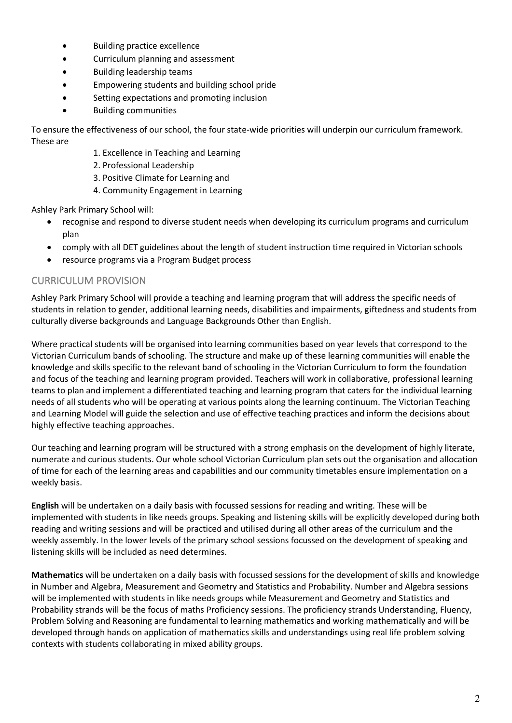- Building practice excellence
- Curriculum planning and assessment
- Building leadership teams
- Empowering students and building school pride
- Setting expectations and promoting inclusion
- Building communities

To ensure the effectiveness of our school, the four state-wide priorities will underpin our curriculum framework. These are

- 1. Excellence in Teaching and Learning
- 2. Professional Leadership
- 3. Positive Climate for Learning and
- 4. Community Engagement in Learning

Ashley Park Primary School will:

- recognise and respond to diverse student needs when developing its curriculum programs and curriculum plan
- comply with all DET guidelines about the length of student instruction time required in Victorian schools
- resource programs via a Program Budget process

## CURRICULUM PROVISION

Ashley Park Primary School will provide a teaching and learning program that will address the specific needs of students in relation to gender, additional learning needs, disabilities and impairments, giftedness and students from culturally diverse backgrounds and Language Backgrounds Other than English.

Where practical students will be organised into learning communities based on year levels that correspond to the Victorian Curriculum bands of schooling. The structure and make up of these learning communities will enable the knowledge and skills specific to the relevant band of schooling in the Victorian Curriculum to form the foundation and focus of the teaching and learning program provided. Teachers will work in collaborative, professional learning teams to plan and implement a differentiated teaching and learning program that caters for the individual learning needs of all students who will be operating at various points along the learning continuum. The Victorian Teaching and Learning Model will guide the selection and use of effective teaching practices and inform the decisions about highly effective teaching approaches.

Our teaching and learning program will be structured with a strong emphasis on the development of highly literate, numerate and curious students. Our whole school Victorian Curriculum plan sets out the organisation and allocation of time for each of the learning areas and capabilities and our community timetables ensure implementation on a weekly basis.

**English** will be undertaken on a daily basis with focussed sessions for reading and writing. These will be implemented with students in like needs groups. Speaking and listening skills will be explicitly developed during both reading and writing sessions and will be practiced and utilised during all other areas of the curriculum and the weekly assembly. In the lower levels of the primary school sessions focussed on the development of speaking and listening skills will be included as need determines.

**Mathematics** will be undertaken on a daily basis with focussed sessions for the development of skills and knowledge in Number and Algebra, Measurement and Geometry and Statistics and Probability. Number and Algebra sessions will be implemented with students in like needs groups while Measurement and Geometry and Statistics and Probability strands will be the focus of maths Proficiency sessions. The proficiency strands Understanding, Fluency, Problem Solving and Reasoning are fundamental to learning mathematics and working mathematically and will be developed through hands on application of mathematics skills and understandings using real life problem solving contexts with students collaborating in mixed ability groups.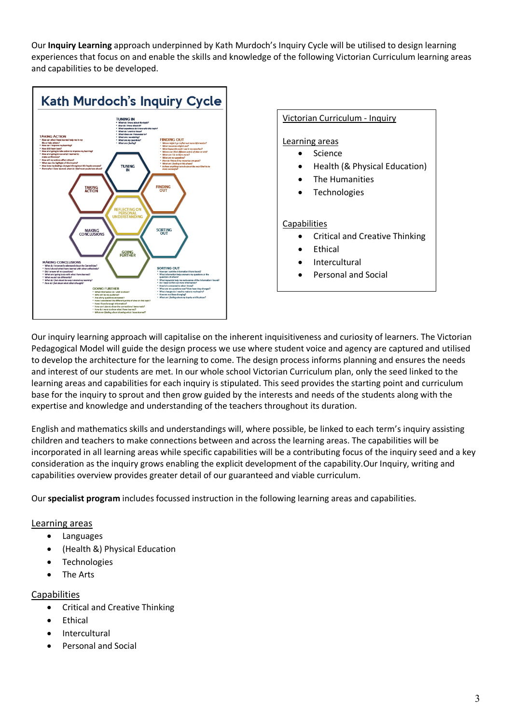Our **Inquiry Learning** approach underpinned by Kath Murdoch's Inquiry Cycle will be utilised to design learning experiences that focus on and enable the skills and knowledge of the following Victorian Curriculum learning areas and capabilities to be developed.



### Victorian Curriculum - Inquiry

#### Learning areas

- **Science**
- Health (& Physical Education)
- The Humanities
- **Technologies**

#### **Capabilities**

- Critical and Creative Thinking
- **Ethical**
- **Intercultural**
- Personal and Social

Our inquiry learning approach will capitalise on the inherent inquisitiveness and curiosity of learners. The Victorian Pedagogical Model will guide the design process we use where student voice and agency are captured and utilised to develop the architecture for the learning to come. The design process informs planning and ensures the needs and interest of our students are met. In our whole school Victorian Curriculum plan, only the seed linked to the learning areas and capabilities for each inquiry is stipulated. This seed provides the starting point and curriculum base for the inquiry to sprout and then grow guided by the interests and needs of the students along with the expertise and knowledge and understanding of the teachers throughout its duration.

English and mathematics skills and understandings will, where possible, be linked to each term's inquiry assisting children and teachers to make connections between and across the learning areas. The capabilities will be incorporated in all learning areas while specific capabilities will be a contributing focus of the inquiry seed and a key consideration as the inquiry grows enabling the explicit development of the capability.Our Inquiry, writing and capabilities overview provides greater detail of our guaranteed and viable curriculum.

Our **specialist program** includes focussed instruction in the following learning areas and capabilities.

#### Learning areas

- Languages
- (Health &) Physical Education
- **Technologies**
- The Arts

#### Capabilities

- Critical and Creative Thinking
- Ethical
- Intercultural
- Personal and Social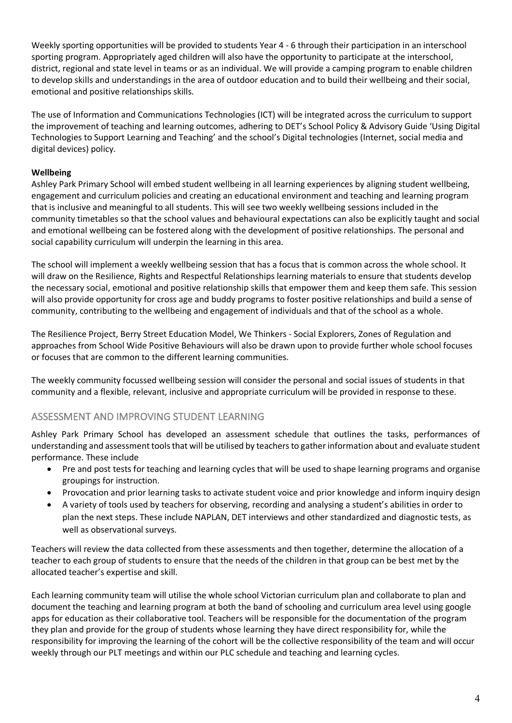Weekly sporting opportunities will be provided to students Year 4 - 6 through their participation in an interschool sporting program. Appropriately aged children will also have the opportunity to participate at the interschool, district, regional and state level in teams or as an individual. We will provide a camping program to enable children to develop skills and understandings in the area of outdoor education and to build their wellbeing and their social, emotional and positive relationships skills.

The use of Information and Communications Technologies (ICT) will be integrated across the curriculum to support the improvement of teaching and learning outcomes, adhering to DET's School Policy & Advisory Guide 'Using Digital Technologies to Support Learning and Teaching' and the school's Digital technologies (Internet, social media and digital devices) policy.

## **Wellbeing**

Ashley Park Primary School will embed student wellbeing in all learning experiences by aligning student wellbeing, engagement and curriculum policies and creating an educational environment and teaching and learning program that is inclusive and meaningful to all students. This will see two weekly wellbeing sessions included in the community timetables so that the school values and behavioural expectations can also be explicitly taught and social and emotional wellbeing can be fostered along with the development of positive relationships. The personal and social capability curriculum will underpin the learning in this area.

The school will implement a weekly wellbeing session that has a focus that is common across the whole school. It will draw on the Resilience, Rights and Respectful Relationships learning materials to ensure that students develop the necessary social, emotional and positive relationship skills that empower them and keep them safe. This session will also provide opportunity for cross age and buddy programs to foster positive relationships and build a sense of community, contributing to the wellbeing and engagement of individuals and that of the school as a whole.

The Resilience Project, Berry Street Education Model, We Thinkers - Social Explorers, Zones of Regulation and approaches from School Wide Positive Behaviours will also be drawn upon to provide further whole school focuses or focuses that are common to the different learning communities.

The weekly community focussed wellbeing session will consider the personal and social issues of students in that community and a flexible, relevant, inclusive and appropriate curriculum will be provided in response to these.

## ASSESSMENT AND IMPROVING STUDENT LEARNING

Ashley Park Primary School has developed an assessment schedule that outlines the tasks, performances of understanding and assessment tools that will be utilised by teachers to gather information about and evaluate student performance. These include

- Pre and post tests for teaching and learning cycles that will be used to shape learning programs and organise groupings for instruction.
- Provocation and prior learning tasks to activate student voice and prior knowledge and inform inquiry design
- A variety of tools used by teachers for observing, recording and analysing a student's abilities in order to plan the next steps. These include NAPLAN, DET interviews and other standardized and diagnostic tests, as well as observational surveys.

Teachers will review the data collected from these assessments and then together, determine the allocation of a teacher to each group of students to ensure that the needs of the children in that group can be best met by the allocated teacher's expertise and skill.

Each learning community team will utilise the whole school Victorian curriculum plan and collaborate to plan and document the teaching and learning program at both the band of schooling and curriculum area level using google apps for education as their collaborative tool. Teachers will be responsible for the documentation of the program they plan and provide for the group of students whose learning they have direct responsibility for, while the responsibility for improving the learning of the cohort will be the collective responsibility of the team and will occur weekly through our PLT meetings and within our PLC schedule and teaching and learning cycles.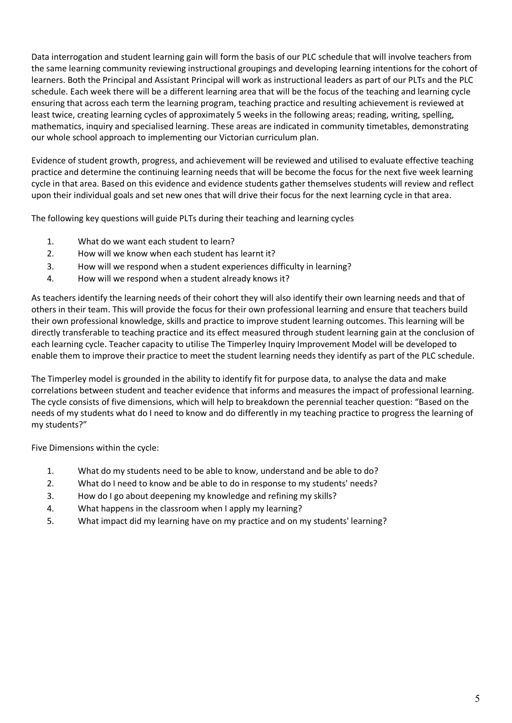Data interrogation and student learning gain will form the basis of our PLC schedule that will involve teachers from the same learning community reviewing instructional groupings and developing learning intentions for the cohort of learners. Both the Principal and Assistant Principal will work as instructional leaders as part of our PLTs and the PLC schedule. Each week there will be a different learning area that will be the focus of the teaching and learning cycle ensuring that across each term the learning program, teaching practice and resulting achievement is reviewed at least twice, creating learning cycles of approximately 5 weeks in the following areas; reading, writing, spelling, mathematics, inquiry and specialised learning. These areas are indicated in community timetables, demonstrating our whole school approach to implementing our Victorian curriculum plan.

Evidence of student growth, progress, and achievement will be reviewed and utilised to evaluate effective teaching practice and determine the continuing learning needs that will be become the focus for the next five week learning cycle in that area. Based on this evidence and evidence students gather themselves students will review and reflect upon their individual goals and set new ones that will drive their focus for the next learning cycle in that area.

The following key questions will guide PLTs during their teaching and learning cycles

- 1. What do we want each student to learn?
- 2. How will we know when each student has learnt it?
- 3. How will we respond when a student experiences difficulty in learning?
- 4. How will we respond when a student already knows it?

As teachers identify the learning needs of their cohort they will also identify their own learning needs and that of others in their team. This will provide the focus for their own professional learning and ensure that teachers build their own professional knowledge, skills and practice to improve student learning outcomes. This learning will be directly transferable to teaching practice and its effect measured through student learning gain at the conclusion of each learning cycle. Teacher capacity to utilise The Timperley Inquiry Improvement Model will be developed to enable them to improve their practice to meet the student learning needs they identify as part of the PLC schedule.

The Timperley model is grounded in the ability to identify fit for purpose data, to analyse the data and make correlations between student and teacher evidence that informs and measures the impact of professional learning. The cycle consists of five dimensions, which will help to breakdown the perennial teacher question: "Based on the needs of my students what do I need to know and do differently in my teaching practice to progress the learning of my students?"

Five Dimensions within the cycle:

- 1. What do my students need to be able to know, understand and be able to do?
- 2. What do I need to know and be able to do in response to my students' needs?
- 3. How do I go about deepening my knowledge and refining my skills?
- 4. What happens in the classroom when I apply my learning?
- 5. What impact did my learning have on my practice and on my students' learning?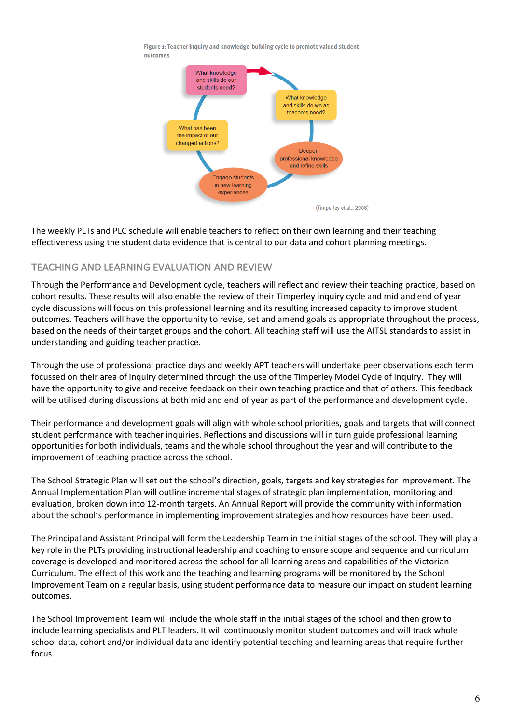



The weekly PLTs and PLC schedule will enable teachers to reflect on their own learning and their teaching effectiveness using the student data evidence that is central to our data and cohort planning meetings.

# TEACHING AND LEARNING EVALUATION AND REVIEW

Through the Performance and Development cycle, teachers will reflect and review their teaching practice, based on cohort results. These results will also enable the review of their Timperley inquiry cycle and mid and end of year cycle discussions will focus on this professional learning and its resulting increased capacity to improve student outcomes. Teachers will have the opportunity to revise, set and amend goals as appropriate throughout the process, based on the needs of their target groups and the cohort. All teaching staff will use the AITSL standards to assist in understanding and guiding teacher practice.

Through the use of professional practice days and weekly APT teachers will undertake peer observations each term focussed on their area of inquiry determined through the use of the Timperley Model Cycle of Inquiry. They will have the opportunity to give and receive feedback on their own teaching practice and that of others. This feedback will be utilised during discussions at both mid and end of year as part of the performance and development cycle.

Their performance and development goals will align with whole school priorities, goals and targets that will connect student performance with teacher inquiries. Reflections and discussions will in turn guide professional learning opportunities for both individuals, teams and the whole school throughout the year and will contribute to the improvement of teaching practice across the school.

The School Strategic Plan will set out the school's direction, goals, targets and key strategies for improvement. The Annual Implementation Plan will outline incremental stages of strategic plan implementation, monitoring and evaluation, broken down into 12-month targets. An Annual Report will provide the community with information about the school's performance in implementing improvement strategies and how resources have been used.

The Principal and Assistant Principal will form the Leadership Team in the initial stages of the school. They will play a key role in the PLTs providing instructional leadership and coaching to ensure scope and sequence and curriculum coverage is developed and monitored across the school for all learning areas and capabilities of the Victorian Curriculum. The effect of this work and the teaching and learning programs will be monitored by the School Improvement Team on a regular basis, using student performance data to measure our impact on student learning outcomes.

The School Improvement Team will include the whole staff in the initial stages of the school and then grow to include learning specialists and PLT leaders. It will continuously monitor student outcomes and will track whole school data, cohort and/or individual data and identify potential teaching and learning areas that require further focus.